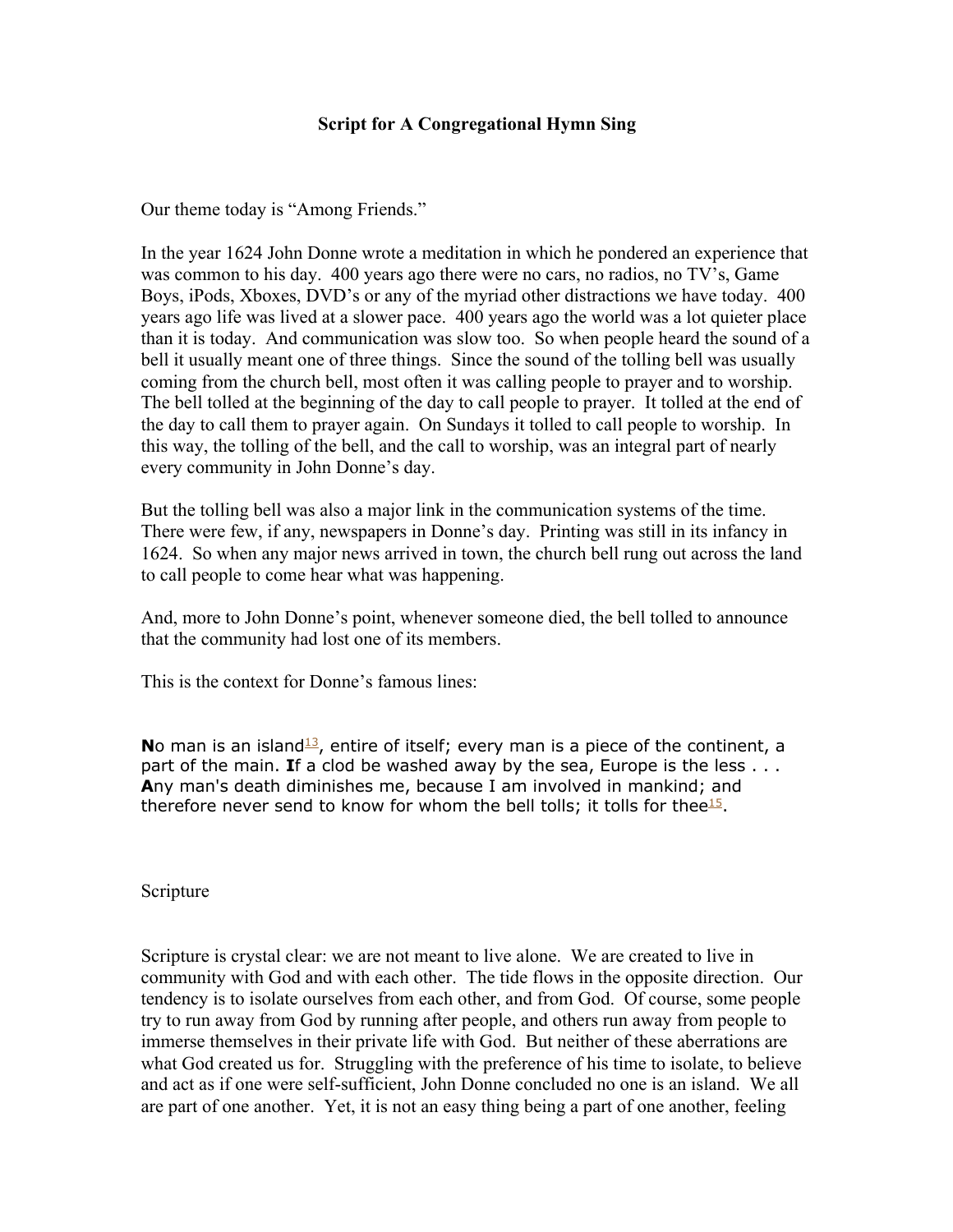# **Script for A Congregational Hymn Sing**

Our theme today is "Among Friends."

In the year 1624 John Donne wrote a meditation in which he pondered an experience that was common to his day. 400 years ago there were no cars, no radios, no TV's, Game Boys, iPods, Xboxes, DVD's or any of the myriad other distractions we have today. 400 years ago life was lived at a slower pace. 400 years ago the world was a lot quieter place than it is today. And communication was slow too. So when people heard the sound of a bell it usually meant one of three things. Since the sound of the tolling bell was usually coming from the church bell, most often it was calling people to prayer and to worship. The bell tolled at the beginning of the day to call people to prayer. It tolled at the end of the day to call them to prayer again. On Sundays it tolled to call people to worship. In this way, the tolling of the bell, and the call to worship, was an integral part of nearly every community in John Donne's day.

But the tolling bell was also a major link in the communication systems of the time. There were few, if any, newspapers in Donne's day. Printing was still in its infancy in 1624. So when any major news arrived in town, the church bell rung out across the land to call people to come hear what was happening.

And, more to John Donne's point, whenever someone died, the bell tolled to announce that the community had lost one of its members.

This is the context for Donne's famous lines:

**No man is an island<sup>13</sup>**, entire of itself; every man is a piece of the continent, a part of the main. **I**f a clod be washed away by the sea, Europe is the less . . . **A**ny man's death diminishes me, because I am involved in mankind; and therefore never send to know for whom the bell tolls; it tolls for thee<sup>15</sup>.

#### Scripture

Scripture is crystal clear: we are not meant to live alone. We are created to live in community with God and with each other. The tide flows in the opposite direction. Our tendency is to isolate ourselves from each other, and from God. Of course, some people try to run away from God by running after people, and others run away from people to immerse themselves in their private life with God. But neither of these aberrations are what God created us for. Struggling with the preference of his time to isolate, to believe and act as if one were self-sufficient, John Donne concluded no one is an island. We all are part of one another. Yet, it is not an easy thing being a part of one another, feeling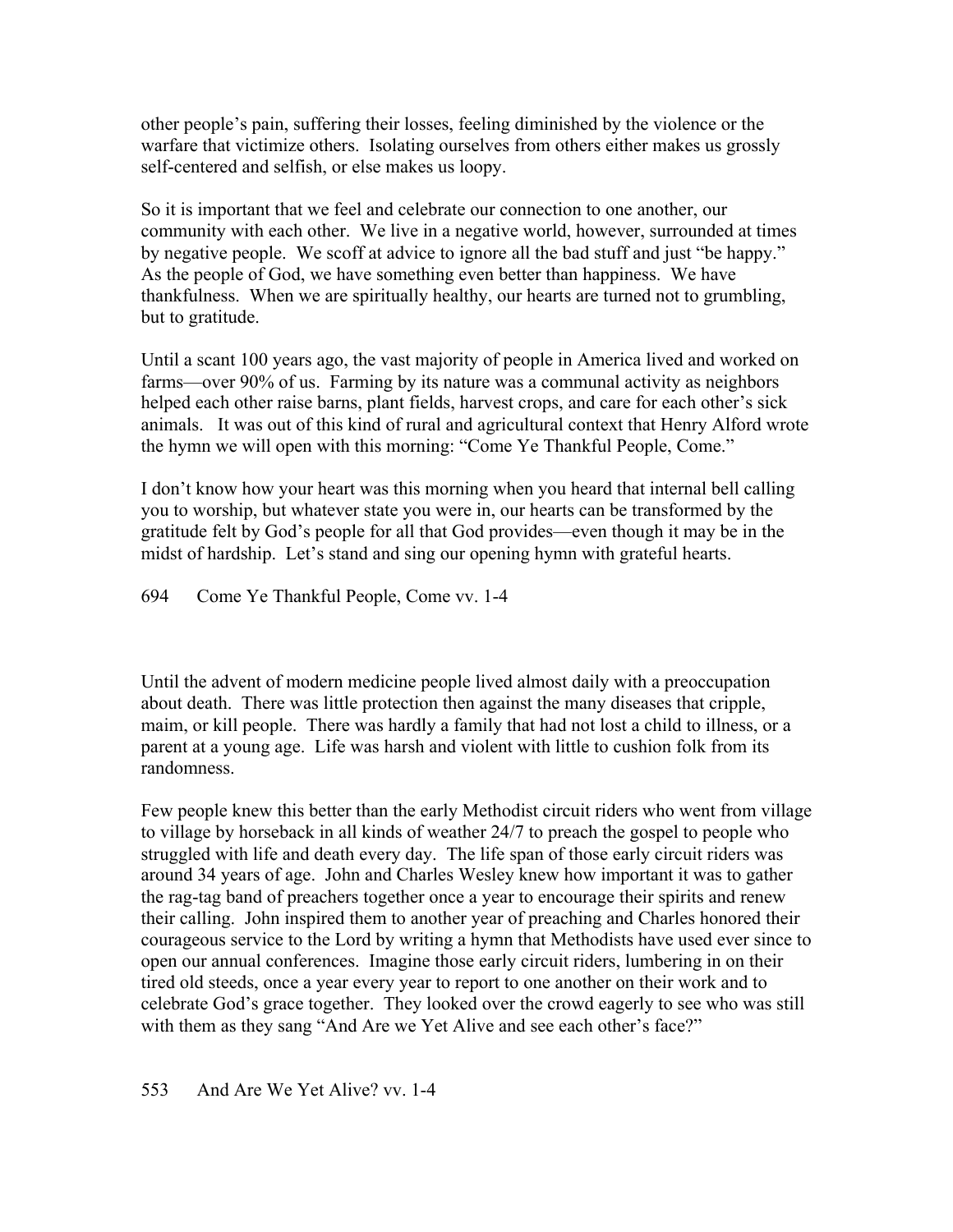other people's pain, suffering their losses, feeling diminished by the violence or the warfare that victimize others. Isolating ourselves from others either makes us grossly self-centered and selfish, or else makes us loopy.

So it is important that we feel and celebrate our connection to one another, our community with each other. We live in a negative world, however, surrounded at times by negative people. We scoff at advice to ignore all the bad stuff and just "be happy." As the people of God, we have something even better than happiness. We have thankfulness. When we are spiritually healthy, our hearts are turned not to grumbling, but to gratitude.

Until a scant 100 years ago, the vast majority of people in America lived and worked on farms—over 90% of us. Farming by its nature was a communal activity as neighbors helped each other raise barns, plant fields, harvest crops, and care for each other's sick animals. It was out of this kind of rural and agricultural context that Henry Alford wrote the hymn we will open with this morning: "Come Ye Thankful People, Come."

I don't know how your heart was this morning when you heard that internal bell calling you to worship, but whatever state you were in, our hearts can be transformed by the gratitude felt by God's people for all that God provides—even though it may be in the midst of hardship. Let's stand and sing our opening hymn with grateful hearts.

694 Come Ye Thankful People, Come vv. 1-4

Until the advent of modern medicine people lived almost daily with a preoccupation about death. There was little protection then against the many diseases that cripple, maim, or kill people. There was hardly a family that had not lost a child to illness, or a parent at a young age. Life was harsh and violent with little to cushion folk from its randomness.

Few people knew this better than the early Methodist circuit riders who went from village to village by horseback in all kinds of weather 24/7 to preach the gospel to people who struggled with life and death every day. The life span of those early circuit riders was around 34 years of age. John and Charles Wesley knew how important it was to gather the rag-tag band of preachers together once a year to encourage their spirits and renew their calling. John inspired them to another year of preaching and Charles honored their courageous service to the Lord by writing a hymn that Methodists have used ever since to open our annual conferences. Imagine those early circuit riders, lumbering in on their tired old steeds, once a year every year to report to one another on their work and to celebrate God's grace together. They looked over the crowd eagerly to see who was still with them as they sang "And Are we Yet Alive and see each other's face?"

# 553 And Are We Yet Alive? vv. 1-4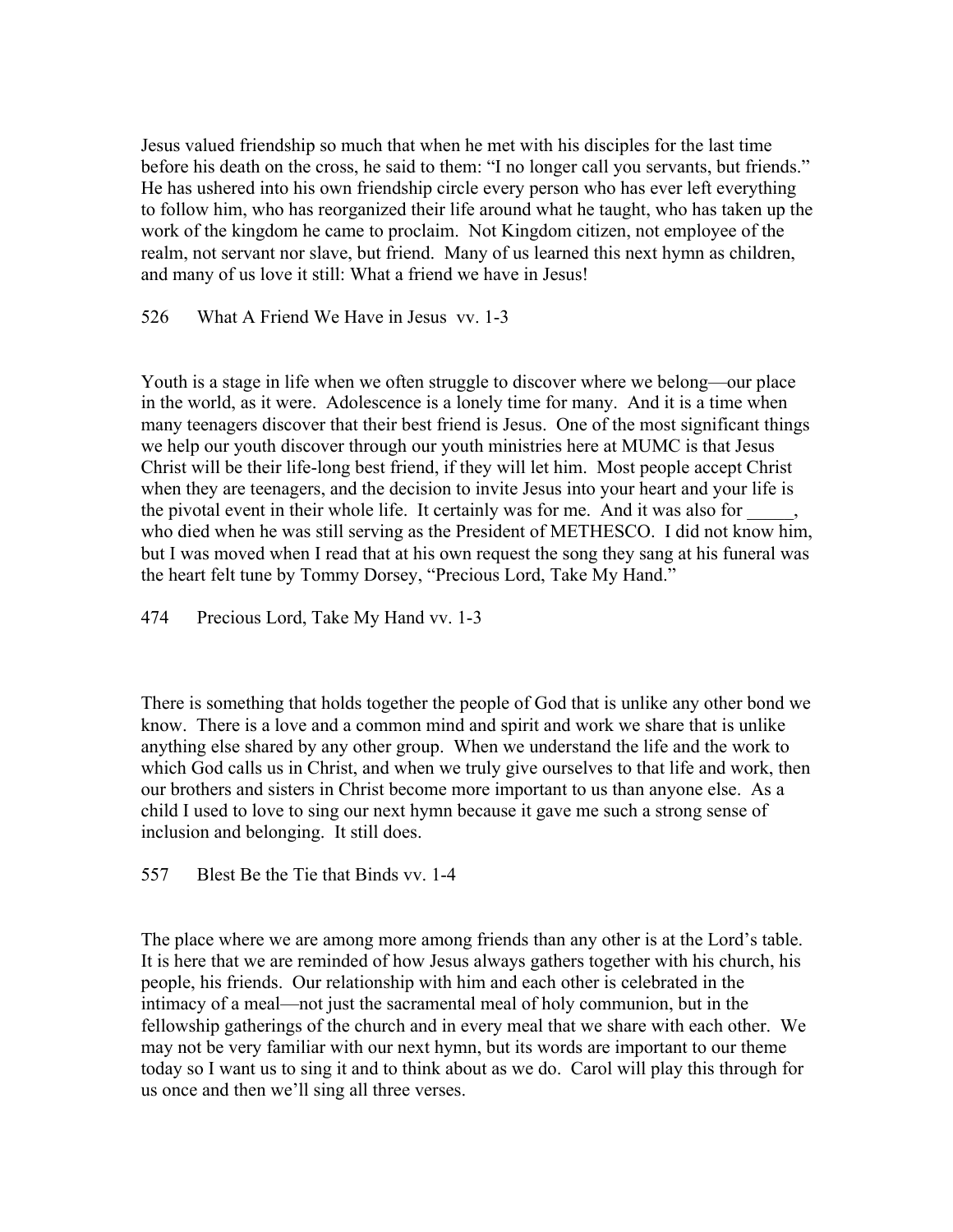Jesus valued friendship so much that when he met with his disciples for the last time before his death on the cross, he said to them: "I no longer call you servants, but friends." He has ushered into his own friendship circle every person who has ever left everything to follow him, who has reorganized their life around what he taught, who has taken up the work of the kingdom he came to proclaim. Not Kingdom citizen, not employee of the realm, not servant nor slave, but friend. Many of us learned this next hymn as children, and many of us love it still: What a friend we have in Jesus!

526 What A Friend We Have in Jesus vv. 1-3

Youth is a stage in life when we often struggle to discover where we belong—our place in the world, as it were. Adolescence is a lonely time for many. And it is a time when many teenagers discover that their best friend is Jesus. One of the most significant things we help our youth discover through our youth ministries here at MUMC is that Jesus Christ will be their life-long best friend, if they will let him. Most people accept Christ when they are teenagers, and the decision to invite Jesus into your heart and your life is the pivotal event in their whole life. It certainly was for me. And it was also for who died when he was still serving as the President of METHESCO. I did not know him, but I was moved when I read that at his own request the song they sang at his funeral was the heart felt tune by Tommy Dorsey, "Precious Lord, Take My Hand."

474 Precious Lord, Take My Hand vv. 1-3

There is something that holds together the people of God that is unlike any other bond we know. There is a love and a common mind and spirit and work we share that is unlike anything else shared by any other group. When we understand the life and the work to which God calls us in Christ, and when we truly give ourselves to that life and work, then our brothers and sisters in Christ become more important to us than anyone else. As a child I used to love to sing our next hymn because it gave me such a strong sense of inclusion and belonging. It still does.

557 Blest Be the Tie that Binds vv. 1-4

The place where we are among more among friends than any other is at the Lord's table. It is here that we are reminded of how Jesus always gathers together with his church, his people, his friends. Our relationship with him and each other is celebrated in the intimacy of a meal—not just the sacramental meal of holy communion, but in the fellowship gatherings of the church and in every meal that we share with each other. We may not be very familiar with our next hymn, but its words are important to our theme today so I want us to sing it and to think about as we do. Carol will play this through for us once and then we'll sing all three verses.